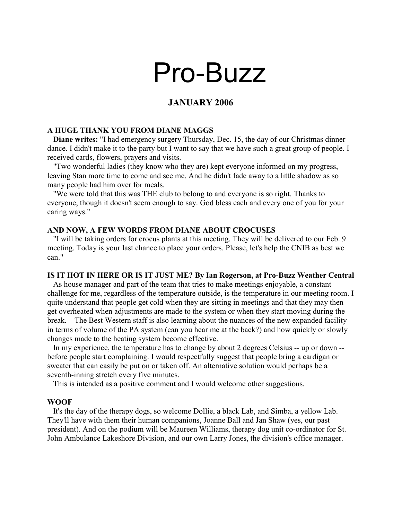# Pro-Buzz

# JANUARY 2006

#### A HUGE THANK YOU FROM DIANE MAGGS

 Diane writes: "I had emergency surgery Thursday, Dec. 15, the day of our Christmas dinner dance. I didn't make it to the party but I want to say that we have such a great group of people. I received cards, flowers, prayers and visits.

 "Two wonderful ladies (they know who they are) kept everyone informed on my progress, leaving Stan more time to come and see me. And he didn't fade away to a little shadow as so many people had him over for meals.

 "We were told that this was THE club to belong to and everyone is so right. Thanks to everyone, though it doesn't seem enough to say. God bless each and every one of you for your caring ways."

#### AND NOW, A FEW WORDS FROM DIANE ABOUT CROCUSES

 "I will be taking orders for crocus plants at this meeting. They will be delivered to our Feb. 9 meeting. Today is your last chance to place your orders. Please, let's help the CNIB as best we can."

#### IS IT HOT IN HERE OR IS IT JUST ME? By Ian Rogerson, at Pro-Buzz Weather Central

 As house manager and part of the team that tries to make meetings enjoyable, a constant challenge for me, regardless of the temperature outside, is the temperature in our meeting room. I quite understand that people get cold when they are sitting in meetings and that they may then get overheated when adjustments are made to the system or when they start moving during the break. The Best Western staff is also learning about the nuances of the new expanded facility in terms of volume of the PA system (can you hear me at the back?) and how quickly or slowly changes made to the heating system become effective.

 In my experience, the temperature has to change by about 2 degrees Celsius -- up or down - before people start complaining. I would respectfully suggest that people bring a cardigan or sweater that can easily be put on or taken off. An alternative solution would perhaps be a seventh-inning stretch every five minutes.

This is intended as a positive comment and I would welcome other suggestions.

#### WOOF

 It's the day of the therapy dogs, so welcome Dollie, a black Lab, and Simba, a yellow Lab. They'll have with them their human companions, Joanne Ball and Jan Shaw (yes, our past president). And on the podium will be Maureen Williams, therapy dog unit co-ordinator for St. John Ambulance Lakeshore Division, and our own Larry Jones, the division's office manager.